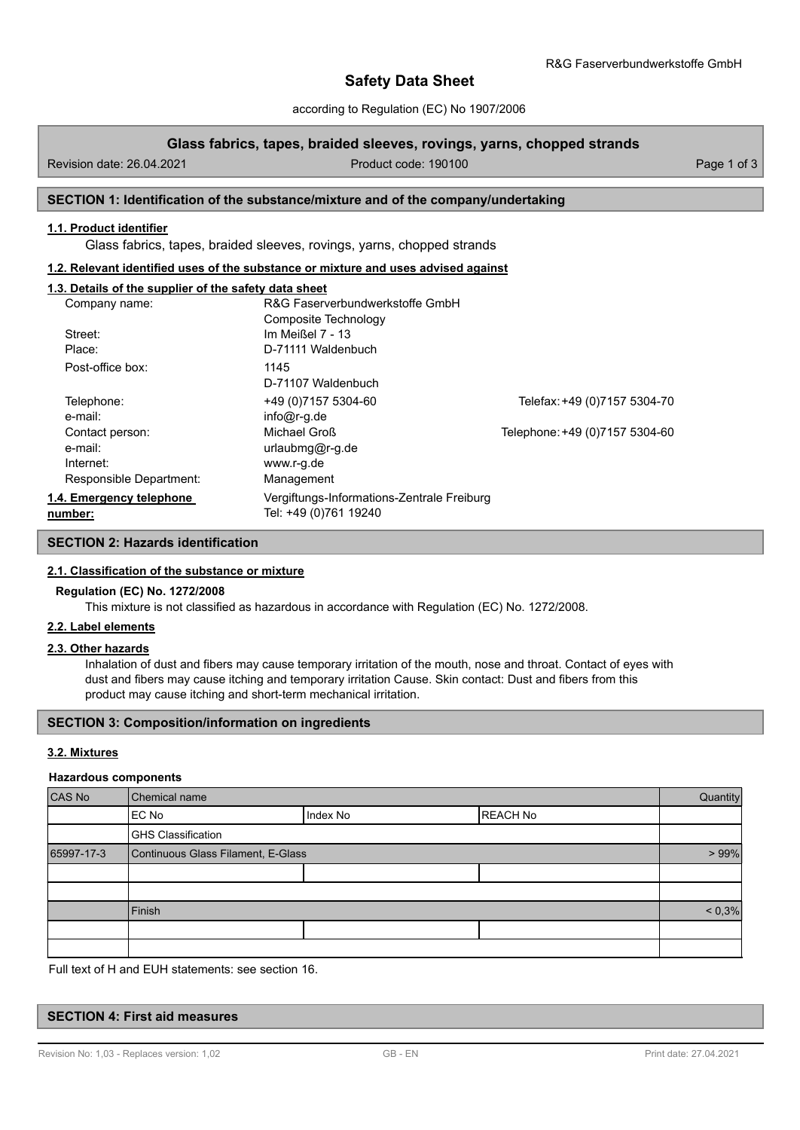# **Safety Data Sheet**

according to Regulation (EC) No 1907/2006

### **Glass fabrics, tapes, braided sleeves, rovings, yarns, chopped strands**

Revision date: 26.04.2021 **Product code: 190100** Product code: 190100 Page 1 of 3

# **SECTION 1: Identification of the substance/mixture and of the company/undertaking**

### **1.1. Product identifier**

Glass fabrics, tapes, braided sleeves, rovings, yarns, chopped strands

#### **1.2. Relevant identified uses of the substance or mixture and uses advised against**

### **1.3. Details of the supplier of the safety data sheet**

| Company name:            | R&G Faserverbundwerkstoffe GmbH            |                                |
|--------------------------|--------------------------------------------|--------------------------------|
|                          | Composite Technology                       |                                |
| Street:                  | Im Meißel 7 - 13                           |                                |
| Place:                   | D-71111 Waldenbuch                         |                                |
| Post-office box:         | 1145                                       |                                |
|                          | D-71107 Waldenbuch                         |                                |
| Telephone:               | +49 (0) 7157 5304-60                       | Telefax: +49 (0)7157 5304-70   |
| e-mail:                  | $info@r-q.de$                              |                                |
| Contact person:          | Michael Groß                               | Telephone: +49 (0)7157 5304-60 |
| e-mail:                  | urlaubmg@r-g.de                            |                                |
| Internet:                | www.r-g.de                                 |                                |
| Responsible Department:  | Management                                 |                                |
| 1.4. Emergency telephone | Vergiftungs-Informations-Zentrale Freiburg |                                |
| number:                  | Tel: +49 (0)761 19240                      |                                |

# **SECTION 2: Hazards identification**

#### **2.1. Classification of the substance or mixture**

### **Regulation (EC) No. 1272/2008**

This mixture is not classified as hazardous in accordance with Regulation (EC) No. 1272/2008.

### **2.2. Label elements**

#### **2.3. Other hazards**

Inhalation of dust and fibers may cause temporary irritation of the mouth, nose and throat. Contact of eyes with dust and fibers may cause itching and temporary irritation Cause. Skin contact: Dust and fibers from this product may cause itching and short-term mechanical irritation.

#### **SECTION 3: Composition/information on ingredients**

#### **3.2. Mixtures**

### **Hazardous components**

| CAS No     | Chemical name                      |          |                 | Quantity  |
|------------|------------------------------------|----------|-----------------|-----------|
|            | EC No                              | Index No | <b>REACH No</b> |           |
|            | <b>GHS Classification</b>          |          |                 |           |
| 65997-17-3 | Continuous Glass Filament, E-Glass |          |                 | $> 99\%$  |
|            |                                    |          |                 |           |
|            |                                    |          |                 |           |
|            | Finish                             |          |                 | $< 0.3\%$ |
|            |                                    |          |                 |           |
|            |                                    |          |                 |           |

Full text of H and EUH statements: see section 16.

#### **SECTION 4: First aid measures**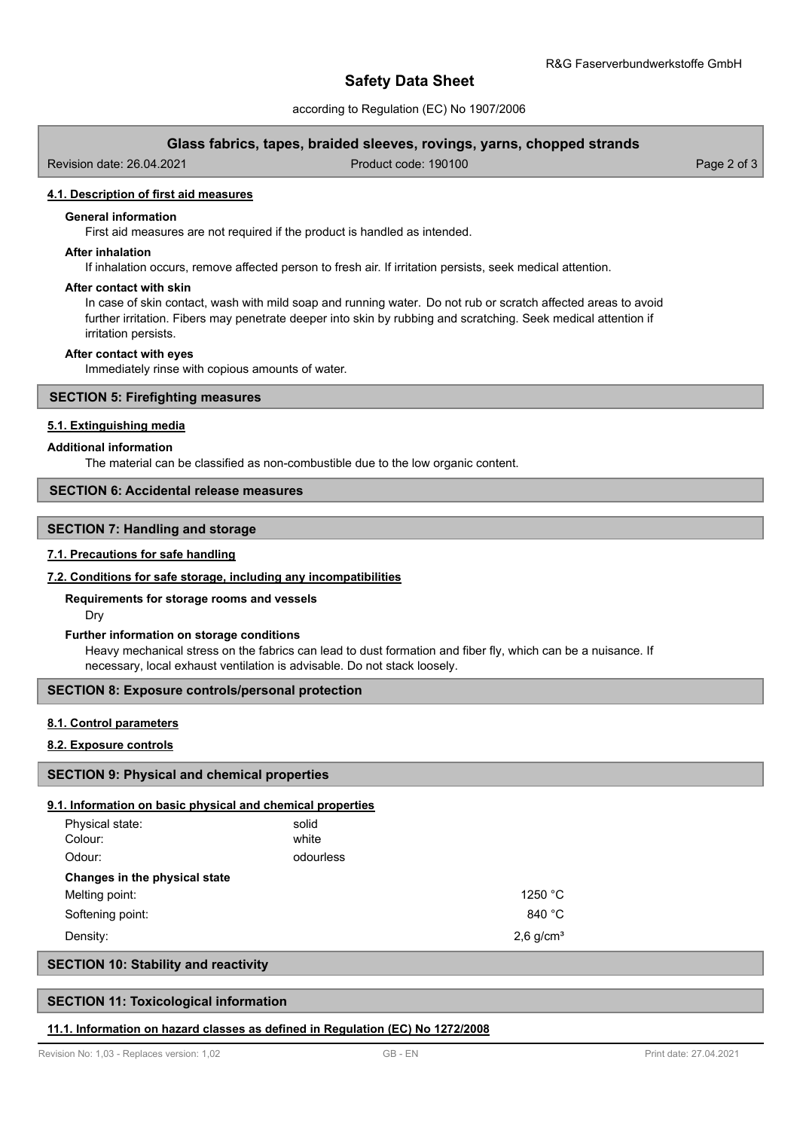# **Safety Data Sheet**

according to Regulation (EC) No 1907/2006

# **Glass fabrics, tapes, braided sleeves, rovings, yarns, chopped strands**

Revision date: 26.04.2021 Product code: 190100 Page 2 of 3

### **4.1. Description of first aid measures**

#### **General information**

First aid measures are not required if the product is handled as intended.

### **After inhalation**

If inhalation occurs, remove affected person to fresh air. If irritation persists, seek medical attention.

#### **After contact with skin**

In case of skin contact, wash with mild soap and running water. Do not rub or scratch affected areas to avoid further irritation. Fibers may penetrate deeper into skin by rubbing and scratching. Seek medical attention if irritation persists.

#### **After contact with eyes**

Immediately rinse with copious amounts of water.

## **SECTION 5: Firefighting measures**

# **5.1. Extinguishing media**

#### **Additional information**

The material can be classified as non-combustible due to the low organic content.

# **SECTION 6: Accidental release measures**

# **SECTION 7: Handling and storage**

#### **7.1. Precautions for safe handling**

#### **7.2. Conditions for safe storage, including any incompatibilities**

#### **Requirements for storage rooms and vessels**

Dry

#### **Further information on storage conditions**

Heavy mechanical stress on the fabrics can lead to dust formation and fiber fly, which can be a nuisance. If necessary, local exhaust ventilation is advisable. Do not stack loosely.

### **SECTION 8: Exposure controls/personal protection**

### **8.1. Control parameters**

# **8.2. Exposure controls**

### **SECTION 9: Physical and chemical properties**

#### **9.1. Information on basic physical and chemical properties**

| Physical state:<br>Colour:    | solid<br>white |                         |
|-------------------------------|----------------|-------------------------|
| Odour:                        | odourless      |                         |
| Changes in the physical state |                |                         |
| Melting point:                |                | 1250 °C                 |
| Softening point:              |                | 840 °C                  |
| Density:                      |                | $2,6$ g/cm <sup>3</sup> |

# **SECTION 10: Stability and reactivity**

#### **SECTION 11: Toxicological information**

#### **11.1. Information on hazard classes as defined in Regulation (EC) No 1272/2008**